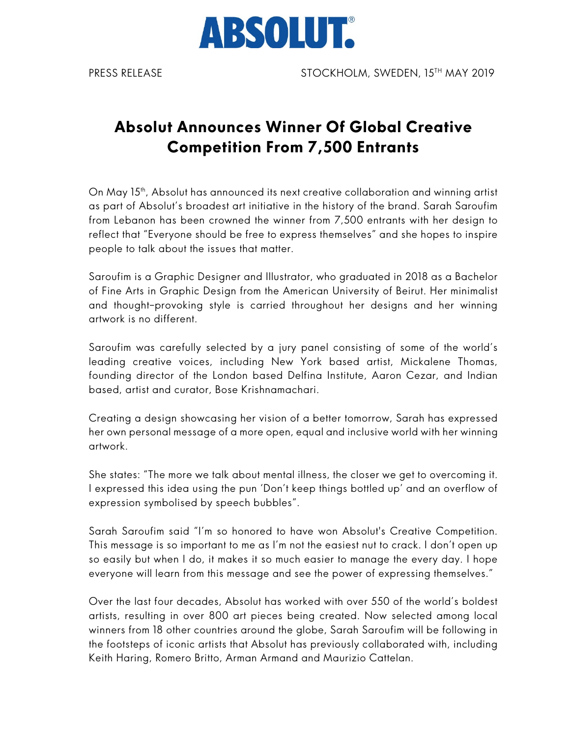

## **Absolut Announces Winner Of Global Creative Competition From 7,500 Entrants**

On May 15<sup>th</sup>, Absolut has announced its next creative collaboration and winning artist as part of Absolut's broadest art initiative in the history of the brand. Sarah Saroufim from Lebanon has been crowned the winner from 7,500 entrants with her design to reflect that "Everyone should be free to express themselves" and she hopes to inspire people to talk about the issues that matter.

Saroufim is a Graphic Designer and Illustrator, who graduated in 2018 as a Bachelor of Fine Arts in Graphic Design from the American University of Beirut. Her minimalist and thought–provoking style is carried throughout her designs and her winning artwork is no different.

Saroufim was carefully selected by a jury panel consisting of some of the world's leading creative voices, including New York based artist, Mickalene Thomas, founding director of the London based Delfina Institute, Aaron Cezar, and Indian based, artist and curator, Bose Krishnamachari.

Creating a design showcasing her vision of a better tomorrow, Sarah has expressed her own personal message of a more open, equal and inclusive world with her winning artwork.

She states: "The more we talk about mental illness, the closer we get to overcoming it. I expressed this idea using the pun 'Don't keep things bottled up' and an overflow of expression symbolised by speech bubbles".

Sarah Saroufim said "I'm so honored to have won Absolut's Creative Competition. This message is so important to me as I'm not the easiest nut to crack. I don't open up so easily but when I do, it makes it so much easier to manage the every day. I hope everyone will learn from this message and see the power of expressing themselves."

Over the last four decades, Absolut has worked with over 550 of the world's boldest artists, resulting in over 800 art pieces being created. Now selected among local winners from 18 other countries around the globe, Sarah Saroufim will be following in the footsteps of iconic artists that Absolut has previously collaborated with, including Keith Haring, Romero Britto, Arman Armand and Maurizio Cattelan.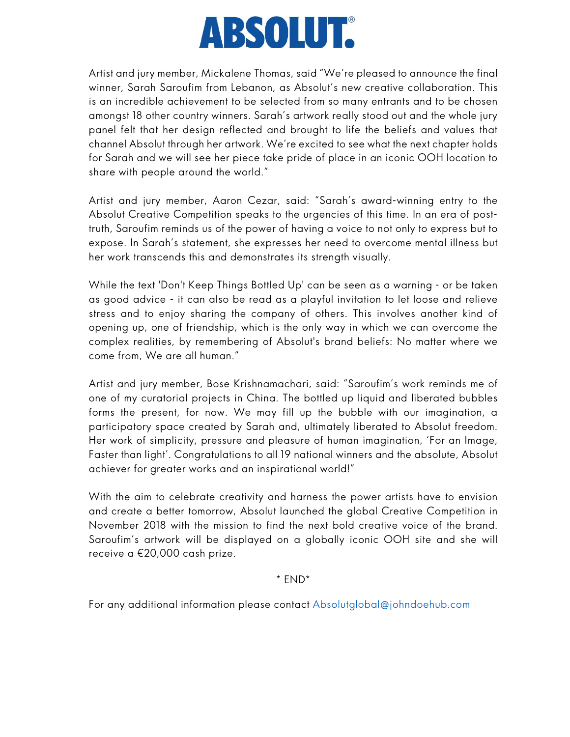## **ABSOLUT.**

Artist and jury member, Mickalene Thomas, said "We're pleased to announce the final winner, Sarah Saroufim from Lebanon, as Absolut's new creative collaboration. This is an incredible achievement to be selected from so many entrants and to be chosen amongst 18 other country winners. Sarah's artwork really stood out and the whole jury panel felt that her design reflected and brought to life the beliefs and values that channel Absolut through her artwork. We're excited to see what the next chapter holds for Sarah and we will see her piece take pride of place in an iconic OOH location to share with people around the world."

Artist and jury member, Aaron Cezar, said: "Sarah's award-winning entry to the Absolut Creative Competition speaks to the urgencies of this time. In an era of posttruth, Saroufim reminds us of the power of having a voice to not only to express but to expose. In Sarah's statement, she expresses her need to overcome mental illness but her work transcends this and demonstrates its strength visually.

While the text 'Don't Keep Things Bottled Up' can be seen as a warning - or be taken as good advice - it can also be read as a playful invitation to let loose and relieve stress and to enjoy sharing the company of others. This involves another kind of opening up, one of friendship, which is the only way in which we can overcome the complex realities, by remembering of Absolut's brand beliefs: No matter where we come from, We are all human."

Artist and jury member, Bose Krishnamachari, said: "Saroufim's work reminds me of one of my curatorial projects in China. The bottled up liquid and liberated bubbles forms the present, for now. We may fill up the bubble with our imagination, a participatory space created by Sarah and, ultimately liberated to Absolut freedom. Her work of simplicity, pressure and pleasure of human imagination, 'For an Image, Faster than light'. Congratulations to all 19 national winners and the absolute, Absolut achiever for greater works and an inspirational world!"

With the aim to celebrate creativity and harness the power artists have to envision and create a better tomorrow, Absolut launched the global Creative Competition in November 2018 with the mission to find the next bold creative voice of the brand. Saroufim's artwork will be displayed on a globally iconic OOH site and she will receive a €20,000 cash prize.

\* END\*

For any additional information please contact Absolutglobal@johndoehub.com